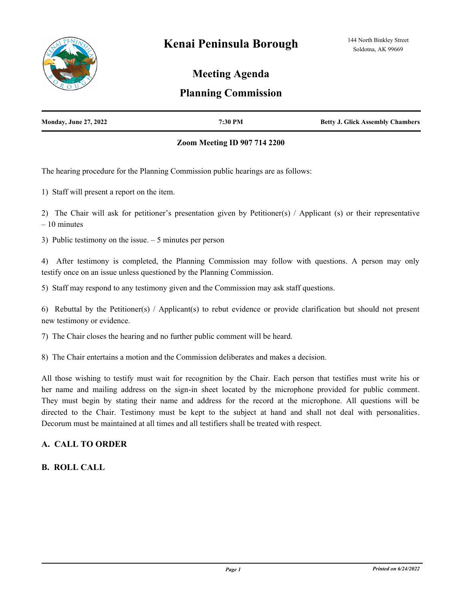

# **Meeting Agenda**

# **Planning Commission**

| <b>Monday, June 27, 2022</b> | 7:30 PM | <b>Betty J. Glick Assembly Chambers</b> |
|------------------------------|---------|-----------------------------------------|
|                              |         |                                         |

### **Zoom Meeting ID 907 714 2200**

The hearing procedure for the Planning Commission public hearings are as follows:

1) Staff will present a report on the item.

2) The Chair will ask for petitioner's presentation given by Petitioner(s) / Applicant (s) or their representative – 10 minutes

3) Public testimony on the issue. – 5 minutes per person

4) After testimony is completed, the Planning Commission may follow with questions. A person may only testify once on an issue unless questioned by the Planning Commission.

5) Staff may respond to any testimony given and the Commission may ask staff questions.

6) Rebuttal by the Petitioner(s) / Applicant(s) to rebut evidence or provide clarification but should not present new testimony or evidence.

7) The Chair closes the hearing and no further public comment will be heard.

8) The Chair entertains a motion and the Commission deliberates and makes a decision.

All those wishing to testify must wait for recognition by the Chair. Each person that testifies must write his or her name and mailing address on the sign-in sheet located by the microphone provided for public comment. They must begin by stating their name and address for the record at the microphone. All questions will be directed to the Chair. Testimony must be kept to the subject at hand and shall not deal with personalities. Decorum must be maintained at all times and all testifiers shall be treated with respect.

# **A. CALL TO ORDER**

# **B. ROLL CALL**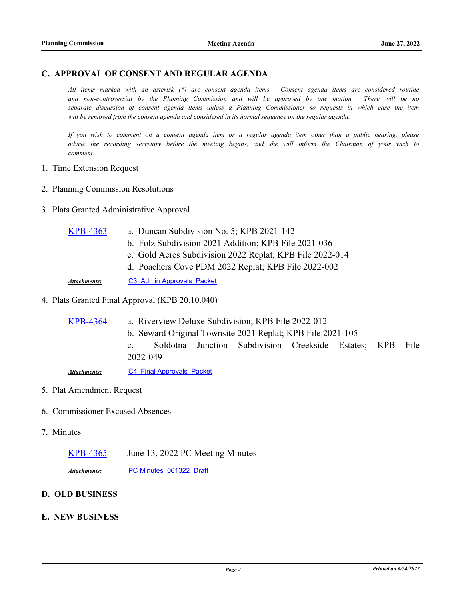### **C. APPROVAL OF CONSENT AND REGULAR AGENDA**

*All items marked with an asterisk (\*) are consent agenda items. Consent agenda items are considered routine and non-controversial by the Planning Commission and will be approved by one motion. There will be no separate discussion of consent agenda items unless a Planning Commissioner so requests in which case the item will be removed from the consent agenda and considered in its normal sequence on the regular agenda.*

*If you wish to comment on a consent agenda item or a regular agenda item other than a public hearing, please advise the recording secretary before the meeting begins, and she will inform the Chairman of your wish to comment.*

- 1. Time Extension Request
- 2. Planning Commission Resolutions
- 3. Plats Granted Administrative Approval

| <b>KPB-4363</b> | a. Duncan Subdivision No. 5; KPB 2021-142 |  |
|-----------------|-------------------------------------------|--|
|                 |                                           |  |

- b. Folz Subdivision 2021 Addition; KPB File 2021-036
- c. Gold Acres Subdivision 2022 Replat; KPB File 2022-014
- d. Poachers Cove PDM 2022 Replat; KPB File 2022-002

Attachments: C3. Admin Approvals Packet

#### 4. Plats Granted Final Approval (KPB 20.10.040)

a. Riverview Deluxe Subdivision; KPB File 2022-012 b. Seward Original Townsite 2021 Replat; KPB File 2021-105 c. Soldotna Junction Subdivision Creekside Estates; KPB File 2022-049 [KPB-4364](http://kpb.legistar.com/gateway.aspx?m=l&id=/matter.aspx?key=25854) Attachments: C4. Final Approvals Packet

### 5. Plat Amendment Request

- 6. Commissioner Excused Absences
- 7. Minutes
	- [KPB-4365](http://kpb.legistar.com/gateway.aspx?m=l&id=/matter.aspx?key=25855) June 13, 2022 PC Meeting Minutes

Attachments: PC Minutes 061322 Draft

### **D. OLD BUSINESS**

### **E. NEW BUSINESS**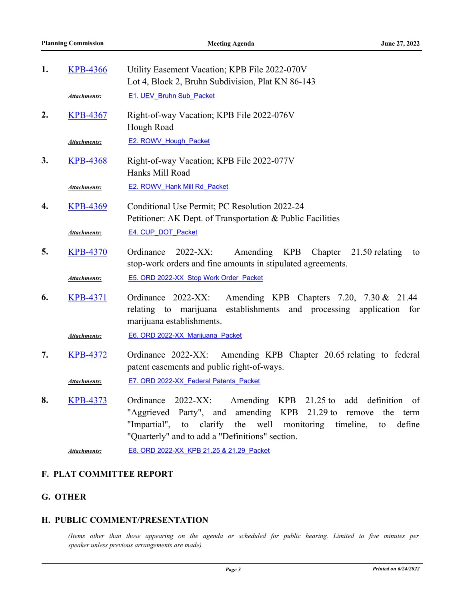| 1. | <b>KPB-4366</b>     | Utility Easement Vacation; KPB File 2022-070V<br>Lot 4, Block 2, Bruhn Subdivision, Plat KN 86-143                                                                                                                                                                                                                  |  |
|----|---------------------|---------------------------------------------------------------------------------------------------------------------------------------------------------------------------------------------------------------------------------------------------------------------------------------------------------------------|--|
|    | Attachments:        | <b>E1. UEV Bruhn Sub Packet</b>                                                                                                                                                                                                                                                                                     |  |
| 2. | <b>KPB-4367</b>     | Right-of-way Vacation; KPB File 2022-076V<br>Hough Road                                                                                                                                                                                                                                                             |  |
|    | <u>Attachments:</u> | <b>E2. ROWV Hough Packet</b>                                                                                                                                                                                                                                                                                        |  |
| 3. | <b>KPB-4368</b>     | Right-of-way Vacation; KPB File 2022-077V<br>Hanks Mill Road                                                                                                                                                                                                                                                        |  |
|    | Attachments:        | <b>E2. ROWV Hank Mill Rd Packet</b>                                                                                                                                                                                                                                                                                 |  |
| 4. | <b>KPB-4369</b>     | Conditional Use Permit; PC Resolution 2022-24<br>Petitioner: AK Dept. of Transportation & Public Facilities                                                                                                                                                                                                         |  |
|    | Attachments:        | E4. CUP DOT Packet                                                                                                                                                                                                                                                                                                  |  |
| 5. | <b>KPB-4370</b>     | Ordinance<br>2022-XX:<br>Amending KPB<br>Chapter<br>21.50 relating<br>to<br>stop-work orders and fine amounts in stipulated agreements.                                                                                                                                                                             |  |
|    | Attachments:        | E5. ORD 2022-XX Stop Work Order Packet                                                                                                                                                                                                                                                                              |  |
| 6. | <b>KPB-4371</b>     | Ordinance 2022-XX:<br>Amending KPB Chapters 7.20, 7.30 & 21.44<br>relating to marijuana<br>establishments and processing application<br>for<br>marijuana establishments.                                                                                                                                            |  |
|    | Attachments:        | E6. ORD 2022-XX Marijuana Packet                                                                                                                                                                                                                                                                                    |  |
| 7. | <b>KPB-4372</b>     | Amending KPB Chapter 20.65 relating to federal<br>Ordinance 2022-XX:<br>patent easements and public right-of-ways.                                                                                                                                                                                                  |  |
|    | Attachments:        | E7. ORD 2022-XX Federal Patents Packet                                                                                                                                                                                                                                                                              |  |
| 8. | <b>KPB-4373</b>     | <b>KPB</b><br>2022-XX:<br>Amending<br>$21.25$ to<br>add definition<br>Ordinance<br>- of<br>$21.29$ to<br>"Aggrieved Party", and<br>amending KPB<br>the term<br>remove<br>"Impartial",<br>clarify<br>the<br>well<br>monitoring<br>timeline,<br>to<br>define<br>to<br>"Quarterly" and to add a "Definitions" section. |  |
|    | <b>Attachments:</b> | E8. ORD 2022-XX KPB 21.25 & 21.29 Packet                                                                                                                                                                                                                                                                            |  |

# **F. PLAT COMMITTEE REPORT**

# **G. OTHER**

## **H. PUBLIC COMMENT/PRESENTATION**

*(Items other than those appearing on the agenda or scheduled for public hearing. Limited to five minutes per speaker unless previous arrangements are made)*